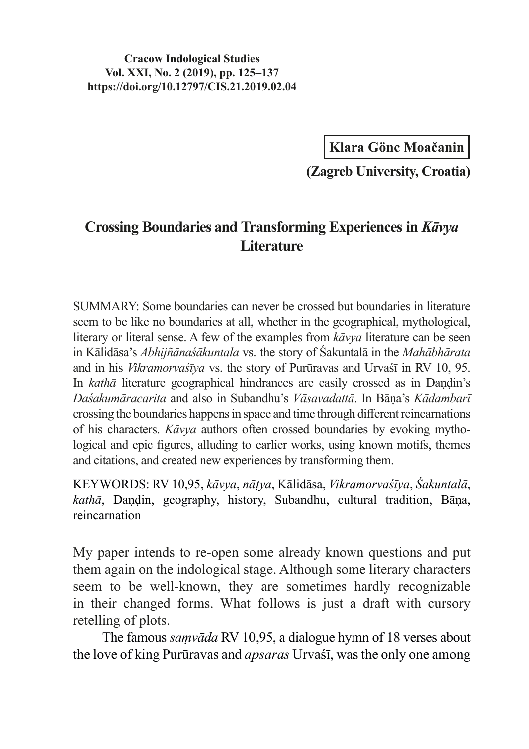**Cracow Indological Studies Vol. XXI, No. 2 (2019), pp. 125–137 https://doi.org/10.12797/CIS.21.2019.02.04**

**Klara Gönc Moačanin**

**(Zagreb University, Croatia)**

## **Crossing Boundaries and Transforming Experiences in** *Kāvya* **Literature**

SUMMARY: Some boundaries can never be crossed but boundaries in literature seem to be like no boundaries at all, whether in the geographical, mythological, literary or literal sense. A few of the examples from *kāvya* literature can be seen in Kālidāsa's *Abhijñānaśākuntala* vs. the story of Śakuntalā in the *Mahābhārata* and in his *Vikramorvaśīya* vs. the story of Purūravas and Urvaśī in RV 10, 95. In *kathā* literature geographical hindrances are easily crossed as in Dandin's *Daśakumāracarita* and also in Subandhu's *Vāsavadattā*. In Bāṇa's *Kādambarī* crossing the boundaries happens in space and time through different reincarnations of his characters. *Kāvya* authors often crossed boundaries by evoking mythological and epic figures, alluding to earlier works, using known motifs, themes and citations, and created new experiences by transforming them.

KEYWORDS: RV 10,95, *kāvya*, *nāṭya*, Kālidāsa, *Vikramorvaśīya*, *Śakuntalā*, *kathā*, Daṇḍin, geography, history, Subandhu, cultural tradition, Bāṇa, reincarnation

My paper intends to re-open some already known questions and put them again on the indological stage. Although some literary characters seem to be well-known, they are sometimes hardly recognizable in their changed forms. What follows is just a draft with cursory retelling of plots.

The famous *saṃvāda* RV 10,95, a dialogue hymn of 18 verses about the love of king Purūravas and *apsaras* Urvaśī, was the only one among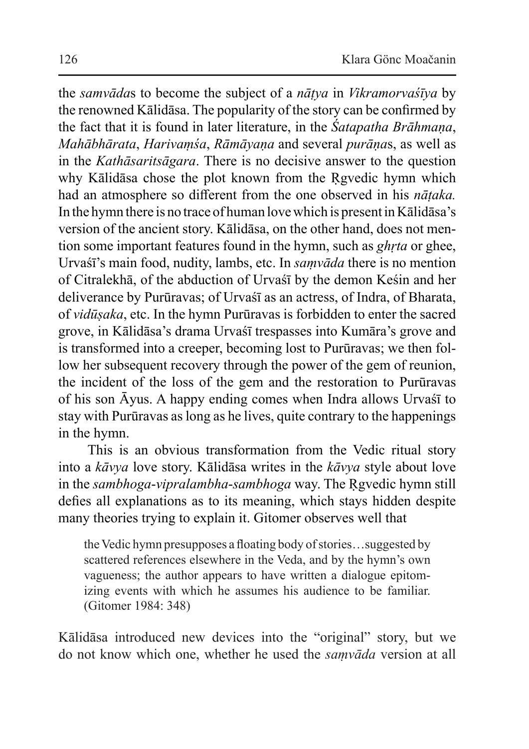the *samvāda*s to become the subject of a *nāṭya* in *Vikramorvaśīya* by the renowned Kālidāsa. The popularity of the story can be confirmed by the fact that it is found in later literature, in the *Śatapatha Brāhmaṇa*, *Mahābhārata*, *Harivaṃśa*, *Rāmāyaṇa* and several *purāṇa*s, as well as in the *Kathāsaritsāgara*. There is no decisive answer to the question why Kālidāsa chose the plot known from the Rgvedic hymn which had an atmosphere so different from the one observed in his *nāṭaka.*  In the hymn there is no trace of human love which is present inKālidāsa's version of the ancient story. Kālidāsa, on the other hand, does not mention some important features found in the hymn, such as *ghṛta* or ghee, Urvaśī's main food, nudity, lambs, etc. In *saṃvāda* there is no mention of Citralekhā, of the abduction of Urvaśī by the demon Keśin and her deliverance by Purūravas; of Urvaśī as an actress, of Indra, of Bharata, of *vidūṣaka*, etc. In the hymn Purūravas is forbidden to enter the sacred grove, in Kālidāsa's drama Urvaśī trespasses into Kumāra's grove and is transformed into a creeper, becoming lost to Purūravas; we then follow her subsequent recovery through the power of the gem of reunion, the incident of the loss of the gem and the restoration to Purūravas of his son Āyus. A happy ending comes when Indra allows Urvaśī to stay with Purūravas as long as he lives, quite contrary to the happenings in the hymn.

This is an obvious transformation from the Vedic ritual story into a *kāvya* love story. Kālidāsa writes in the *kāvya* style about love in the *sambhoga*-*vipralambha*-*sambhoga* way. The Ṛgvedic hymn still defies all explanations as to its meaning, which stays hidden despite many theories trying to explain it. Gitomer observes well that

the Vedic hymn presupposes a floating body of stories...suggested by scattered references elsewhere in the Veda, and by the hymn's own vagueness; the author appears to have written a dialogue epitomizing events with which he assumes his audience to be familiar. (Gitomer 1984: 348)

Kālidāsa introduced new devices into the "original" story, but we do not know which one, whether he used the *saṃvāda* version at all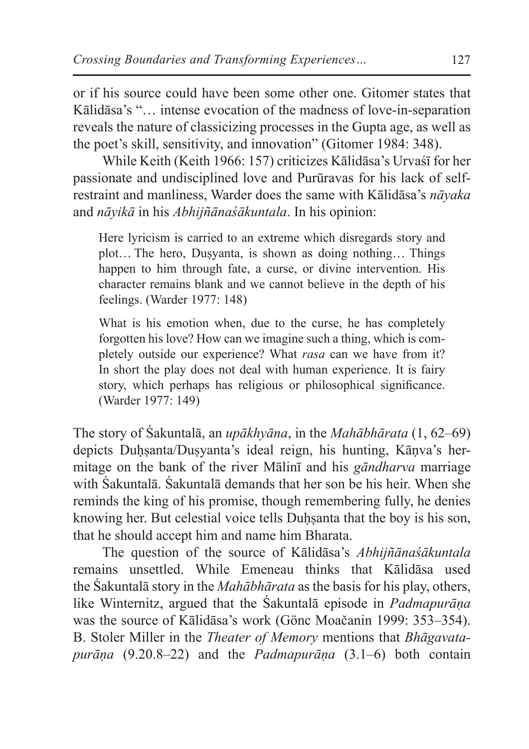or if his source could have been some other one. Gitomer states that Kālidāsa's "… intense evocation of the madness of love-in-separation reveals the nature of classicizing processes in the Gupta age, as well as the poet's skill, sensitivity, and innovation" (Gitomer 1984: 348).

While Keith (Keith 1966: 157) criticizes Kālidāsa's Urvaśī for her passionate and undisciplined love and Purūravas for his lack of selfrestraint and manliness, Warder does the same with Kālidāsa's *nāyaka* and *nāyikā* in his *Abhijñānaśākuntala*. In his opinion:

Here lyricism is carried to an extreme which disregards story and plot… The hero, Duṣyanta, is shown as doing nothing… Things happen to him through fate, a curse, or divine intervention. His character remains blank and we cannot believe in the depth of his feelings. (Warder 1977: 148)

What is his emotion when, due to the curse, he has completely forgotten his love? How can we imagine such a thing, which is completely outside our experience? What *rasa* can we have from it? In short the play does not deal with human experience. It is fairy story, which perhaps has religious or philosophical significance. (Warder 1977: 149)

The story of Śakuntalā, an *upākhyāna*, in the *Mahābhārata* (1, 62–69) depicts Duhsanta/Dusyanta's ideal reign, his hunting, Kānva's hermitage on the bank of the river Mālinī and his *gāndharva* marriage with Śakuntalā. Śakuntalā demands that her son be his heir. When she reminds the king of his promise, though remembering fully, he denies knowing her. But celestial voice tells Duhsanta that the boy is his son, that he should accept him and name him Bharata.

The question of the source of Kālidāsa's *Abhijñānaśākuntala*  remains unsettled. While Emeneau thinks that Kālidāsa used the Śakuntalā story in the *Mahābhārata* as the basis for his play, others, like Winternitz, argued that the Śakuntalā episode in *Padmapurāṇa* was the source of Kālidāsa's work (Gönc Moačanin 1999: 353–354). B. Stoler Miller in the *Theater of Memory* mentions that *Bhāgavatapurāṇa* (9.20.8–22) and the *Padmapurāṇa* (3.1–6) both contain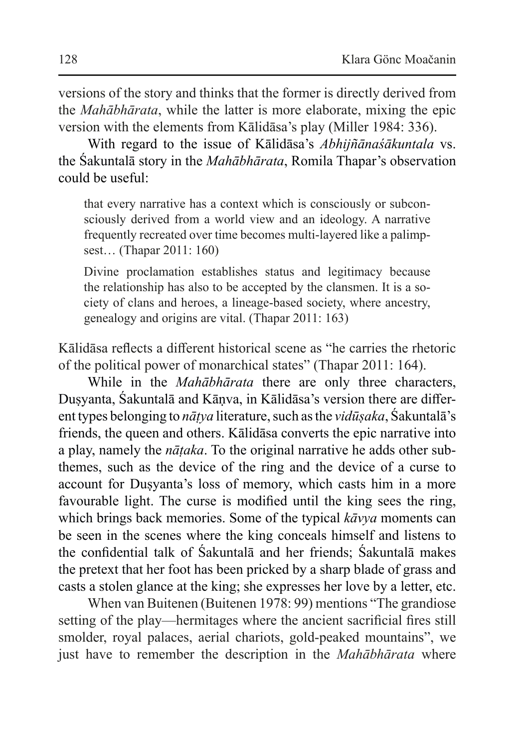versions of the story and thinks that the former is directly derived from the *Mahābhārata*, while the latter is more elaborate, mixing the epic version with the elements from Kālidāsa's play (Miller 1984: 336).

With regard to the issue of Kālidāsa's *Abhijñānaśākuntala* vs. the Śakuntalā story in the *Mahābhārata*, Romila Thapar's observation could be useful:

that every narrative has a context which is consciously or subconsciously derived from a world view and an ideology. A narrative frequently recreated over time becomes multi-layered like a palimpsest… (Thapar 2011: 160)

Divine proclamation establishes status and legitimacy because the relationship has also to be accepted by the clansmen. It is a society of clans and heroes, a lineage-based society, where ancestry, genealogy and origins are vital. (Thapar 2011: 163)

Kālidāsa reflects a different historical scene as "he carries the rhetoric of the political power of monarchical states" (Thapar 2011: 164).

While in the *Mahābhārata* there are only three characters, Duṣyanta, Śakuntalā and Kāṇva, in Kālidāsa's version there are different types belonging to *nāṭya* literature, such as the *vidūṣaka*, Śakuntalā's friends, the queen and others. Kālidāsa converts the epic narrative into a play, namely the *nāṭaka*. To the original narrative he adds other subthemes, such as the device of the ring and the device of a curse to account for Duṣyanta's loss of memory, which casts him in a more favourable light. The curse is modified until the king sees the ring, which brings back memories. Some of the typical *kāvya* moments can be seen in the scenes where the king conceals himself and listens to the confidential talk of Śakuntalā and her friends; Śakuntalā makes the pretext that her foot has been pricked by a sharp blade of grass and casts a stolen glance at the king; she expresses her love by a letter, etc.

When van Buitenen (Buitenen 1978: 99) mentions "The grandiose setting of the play—hermitages where the ancient sacrificial fires still smolder, royal palaces, aerial chariots, gold-peaked mountains", we just have to remember the description in the *Mahābhārata* where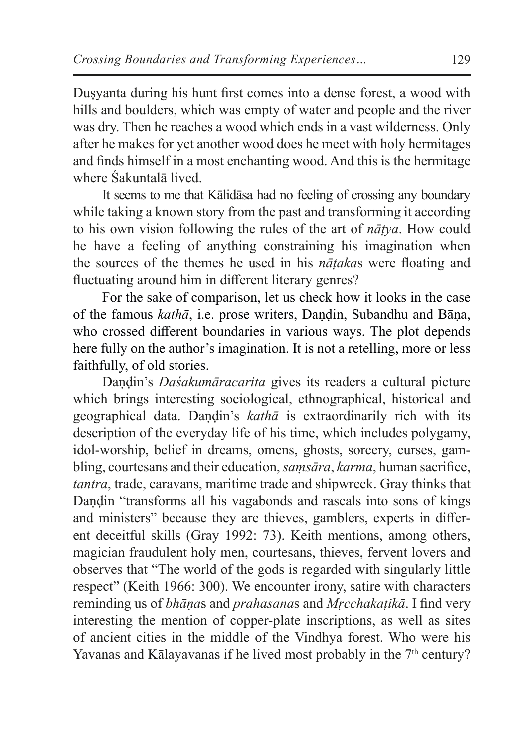Dusyanta during his hunt first comes into a dense forest, a wood with hills and boulders, which was empty of water and people and the river was dry. Then he reaches a wood which ends in a vast wilderness. Only after he makes for yet another wood does he meet with holy hermitages and finds himself in a most enchanting wood. And this is the hermitage where Śakuntalā lived.

It seems to me that Kālidāsa had no feeling of crossing any boundary while taking a known story from the past and transforming it according to his own vision following the rules of the art of *nāṭya*. How could he have a feeling of anything constraining his imagination when the sources of the themes he used in his *nāṭaka*s were floating and fluctuating around him in different literary genres?

For the sake of comparison, let us check how it looks in the case of the famous *kathā*, i.e. prose writers, Daṇḍin, Subandhu and Bāṇa, who crossed different boundaries in various ways. The plot depends here fully on the author's imagination. It is not a retelling, more or less faithfully, of old stories.

Daṇḍin's *Daśakumāracarita* gives its readers a cultural picture which brings interesting sociological, ethnographical, historical and geographical data. Daṇḍin's *kathā* is extraordinarily rich with its description of the everyday life of his time, which includes polygamy, idol-worship, belief in dreams, omens, ghosts, sorcery, curses, gambling, courtesans and their education, *saṃsāra*, *karma*, human sacrifice, *tantra*, trade, caravans, maritime trade and shipwreck. Gray thinks that Daṇḍin "transforms all his vagabonds and rascals into sons of kings and ministers" because they are thieves, gamblers, experts in different deceitful skills (Gray 1992: 73). Keith mentions, among others, magician fraudulent holy men, courtesans, thieves, fervent lovers and observes that "The world of the gods is regarded with singularly little respect" (Keith 1966: 300). We encounter irony, satire with characters reminding us of *bhāṇa*s and *prahasana*s and *Mṛcchakaṭikā*. I find very interesting the mention of copper-plate inscriptions, as well as sites of ancient cities in the middle of the Vindhya forest. Who were his Yavanas and Kālayavanas if he lived most probably in the 7<sup>th</sup> century?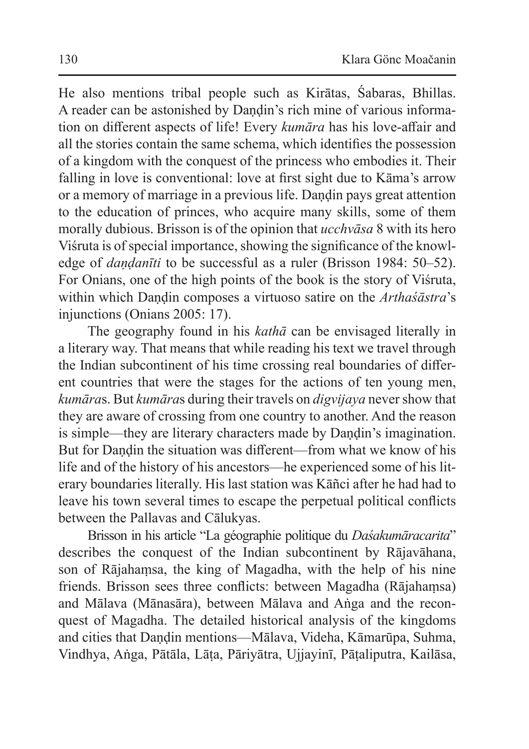He also mentions tribal people such as Kirātas, Śabaras, Bhillas. A reader can be astonished by Daṇḍin's rich mine of various information on different aspects of life! Every *kumāra* has his love-affair and all the stories contain the same schema, which identifies the possession of a kingdom with the conquest of the princess who embodies it. Their falling in love is conventional: love at first sight due to Kāma's arrow or a memory of marriage in a previous life. Daṇḍin pays great attention to the education of princes, who acquire many skills, some of them morally dubious. Brisson is of the opinion that *ucchvāsa* 8 with its hero Viśruta is of special importance, showing the significance of the knowledge of *daṇḍanīti* to be successful as a ruler (Brisson 1984: 50–52). For Onians, one of the high points of the book is the story of Viśruta, within which Daṇḍin composes a virtuoso satire on the *Arthaśāstra*'s injunctions (Onians 2005: 17).

The geography found in his *kathā* can be envisaged literally in a literary way. That means that while reading his text we travel through the Indian subcontinent of his time crossing real boundaries of different countries that were the stages for the actions of ten young men, *kumāra*s. But *kumāra*s during their travels on *digvijaya* never show that they are aware of crossing from one country to another. And the reason is simple—they are literary characters made by Dandin's imagination. But for Dandin the situation was different—from what we know of his life and of the history of his ancestors—he experienced some of his literary boundaries literally. His last station was Kāñci after he had had to leave his town several times to escape the perpetual political conflicts between the Pallavas and Cālukyas.

Brisson in his article "La géographie politique du *Daśakumāracarita*" describes the conquest of the Indian subcontinent by Rājavāhana, son of Rājahaṃsa, the king of Magadha, with the help of his nine friends. Brisson sees three conflicts: between Magadha (Rājahaṃsa) and Mālava (Mānasāra), between Mālava and Aṅga and the reconquest of Magadha. The detailed historical analysis of the kingdoms and cities that Daṇḍin mentions—Mālava, Videha, Kāmarūpa, Suhma, Vindhya, Aṅga, Pātāla, Lāṭa, Pāriyātra, Ujjayinī, Pāṭaliputra, Kailāsa,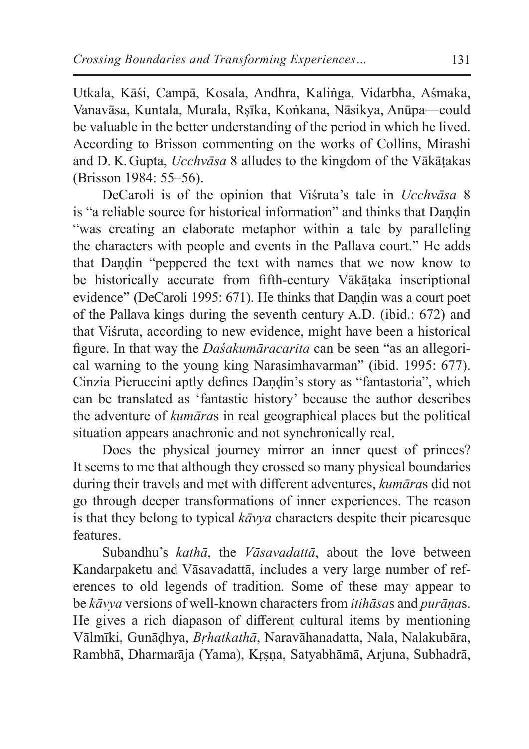Utkala, Kāśi, Campā, Kosala, Andhra, Kaliṅga, Vidarbha, Aśmaka, Vanavāsa, Kuntala, Murala, Rṣīka, Koṅkana, Nāsikya, Anūpa—could be valuable in the better understanding of the period in which he lived. According to Brisson commenting on the works of Collins, Mirashi and D. K. Gupta, *Ucchvāsa* 8 alludes to the kingdom of the Vākāṭakas (Brisson 1984: 55–56).

DeCaroli is of the opinion that Viśruta's tale in *Ucchvāsa* 8 is "a reliable source for historical information" and thinks that Dandin "was creating an elaborate metaphor within a tale by paralleling the characters with people and events in the Pallava court." He adds that Dandin "peppered the text with names that we now know to be historically accurate from fifth-century Vākāṭaka inscriptional evidence" (DeCaroli 1995: 671). He thinks that Dandin was a court poet of the Pallava kings during the seventh century A.D. (ibid.: 672) and that Viśruta, according to new evidence, might have been a historical figure. In that way the *Daśakumāracarita* can be seen "as an allegorical warning to the young king Narasimhavarman" (ibid. 1995: 677). Cinzia Pieruccini aptly defines Dandin's story as "fantastoria", which can be translated as 'fantastic history' because the author describes the adventure of *kumāra*s in real geographical places but the political situation appears anachronic and not synchronically real.

Does the physical journey mirror an inner quest of princes? It seems to me that although they crossed so many physical boundaries during their travels and met with different adventures, *kumāra*s did not go through deeper transformations of inner experiences. The reason is that they belong to typical *kāvya* characters despite their picaresque features.

Subandhu's *kathā*, the *Vāsavadattā*, about the love between Kandarpaketu and Vāsavadattā, includes a very large number of references to old legends of tradition. Some of these may appear to be *kāvya* versions of well-known characters from *itihāsa*s and *purāṇa*s. He gives a rich diapason of different cultural items by mentioning Vālmīki, Gunāḍhya, *Bṛhatkathā*, Naravāhanadatta, Nala, Nalakubāra, Rambhā, Dharmarāja (Yama), Kṛṣṇa, Satyabhāmā, Arjuna, Subhadrā,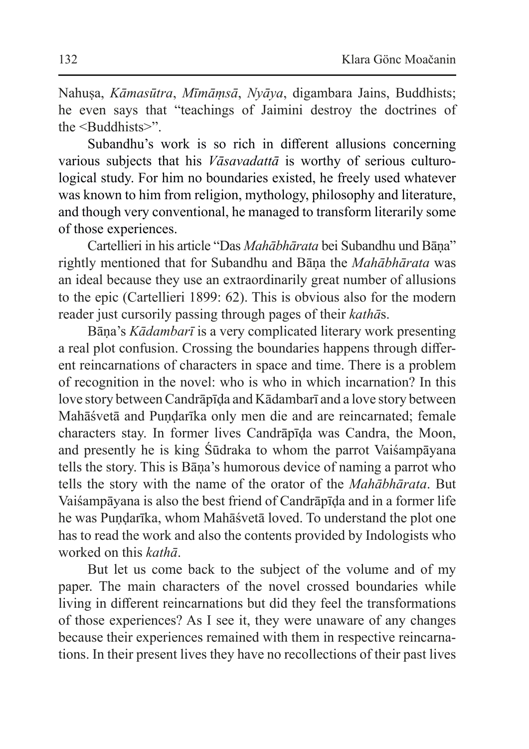Nahuṣa, *Kāmasūtra*, *Mīmāṃsā*, *Nyāya*, digambara Jains, Buddhists; he even says that "teachings of Jaimini destroy the doctrines of the <Buddhists>".

Subandhu's work is so rich in different allusions concerning various subjects that his *Vāsavadattā* is worthy of serious culturological study. For him no boundaries existed, he freely used whatever was known to him from religion, mythology, philosophy and literature, and though very conventional, he managed to transform literarily some of those experiences.

Cartellieri in his article "Das *Mahābhārata* bei Subandhu und Bāṇa" rightly mentioned that for Subandhu and Bāṇa the *Mahābhārata* was an ideal because they use an extraordinarily great number of allusions to the epic (Cartellieri 1899: 62). This is obvious also for the modern reader just cursorily passing through pages of their *kathā*s.

Bāṇa's *Kādambarī* is a very complicated literary work presenting a real plot confusion. Crossing the boundaries happens through different reincarnations of characters in space and time. There is a problem of recognition in the novel: who is who in which incarnation? In this love story between Candrāpīḍa and Kādambarī and a love story between Mahāśvetā and Pundarīka only men die and are reincarnated; female characters stay. In former lives Candrāpīḍa was Candra, the Moon, and presently he is king Śūdraka to whom the parrot Vaiśampāyana tells the story. This is Bāṇa's humorous device of naming a parrot who tells the story with the name of the orator of the *Mahābhārata*. But Vaiśampāyana is also the best friend of Candrāpīḍa and in a former life he was Puṇḍarīka, whom Mahāśvetā loved. To understand the plot one has to read the work and also the contents provided by Indologists who worked on this *kathā*.

But let us come back to the subject of the volume and of my paper. The main characters of the novel crossed boundaries while living in different reincarnations but did they feel the transformations of those experiences? As I see it, they were unaware of any changes because their experiences remained with them in respective reincarnations. In their present lives they have no recollections of their past lives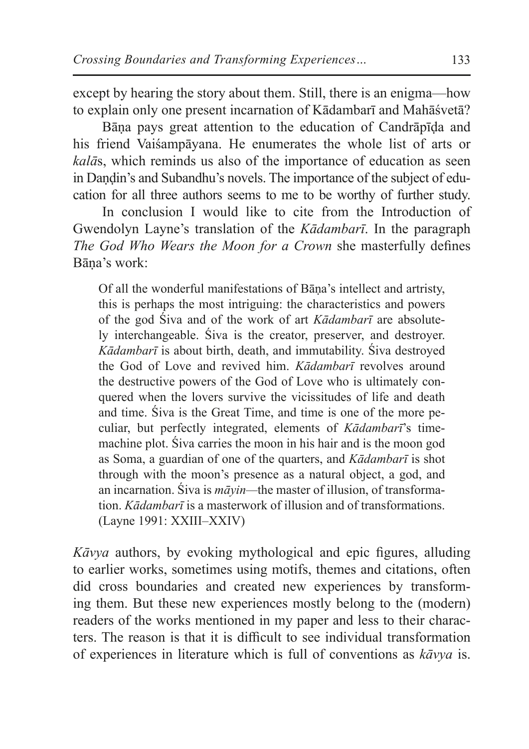except by hearing the story about them. Still, there is an enigma—how to explain only one present incarnation of Kādambarī and Mahāśvetā?

Bāṇa pays great attention to the education of Candrāpīḍa and his friend Vaiśampāyana. He enumerates the whole list of arts or *kalā*s, which reminds us also of the importance of education as seen in Dandin's and Subandhu's novels. The importance of the subject of education for all three authors seems to me to be worthy of further study.

In conclusion I would like to cite from the Introduction of Gwendolyn Layne's translation of the *Kādambarī*. In the paragraph *The God Who Wears the Moon for a Crown* she masterfully defines Bāṇa's work:

Of all the wonderful manifestations of Bāṇa's intellect and artristy, this is perhaps the most intriguing: the characteristics and powers of the god Śiva and of the work of art *Kādambarī* are absolutely interchangeable. Śiva is the creator, preserver, and destroyer. *Kādambarī* is about birth, death, and immutability. Śiva destroyed the God of Love and revived him. *Kādambarī* revolves around the destructive powers of the God of Love who is ultimately conquered when the lovers survive the vicissitudes of life and death and time. Śiva is the Great Time, and time is one of the more peculiar, but perfectly integrated, elements of *Kādambarī*'s time-machine plot. Śiva carries the moon in his hair and is the moon god as Soma, a guardian of one of the quarters, and *Kādambarī* is shot through with the moon's presence as a natural object, a god, and an incarnation. Śiva is *māyin—*the master of illusion, of transformation. *Kādambarī* is a masterwork of illusion and of transformations. (Layne 1991: XXIII–XXIV)

*Kāvya* authors, by evoking mythological and epic figures, alluding to earlier works, sometimes using motifs, themes and citations, often did cross boundaries and created new experiences by transforming them. But these new experiences mostly belong to the (modern) readers of the works mentioned in my paper and less to their characters. The reason is that it is difficult to see individual transformation of experiences in literature which is full of conventions as *kāvya* is.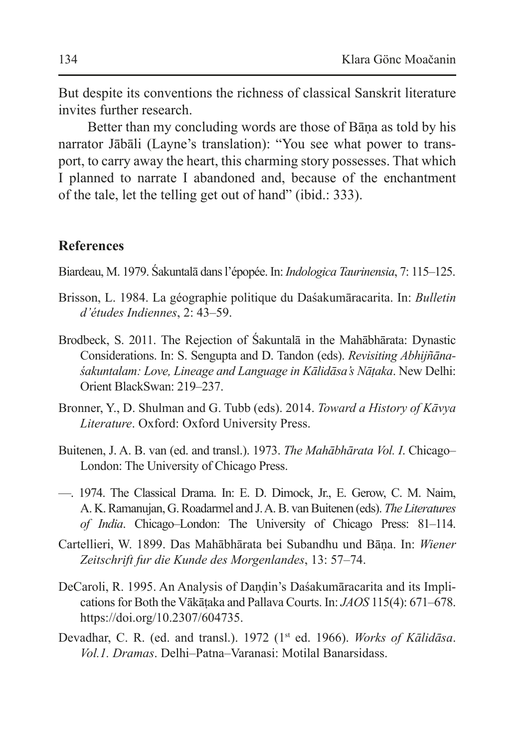But despite its conventions the richness of classical Sanskrit literature invites further research.

Better than my concluding words are those of Bāṇa as told by his narrator Jābāli (Layne's translation): "You see what power to transport, to carry away the heart, this charming story possesses. That which I planned to narrate I abandoned and, because of the enchantment of the tale, let the telling get out of hand" (ibid.: 333).

## **References**

Biardeau, M. 1979. Śakuntalā dans l'épopée. In: *Indologica Taurinensia*, 7: 115–125.

- Brisson, L. 1984. La géographie politique du Daśakumāracarita. In: *Bulletin d'études Indiennes*, 2: 43–59.
- Brodbeck, S. 2011. The Rejection of Śakuntalā in the Mahābhārata: Dynastic Considerations. In: S. Sengupta and D. Tandon (eds). *Revisiting Abhijñānaśakuntalam: Love, Lineage and Language in Kālidāsa's Nāṭaka*. New Delhi: Orient BlackSwan: 219–237.
- Bronner, Y., D. Shulman and G. Tubb (eds). 2014. *Toward a History of Kāvya Literature*. Oxford: Oxford University Press.
- Buitenen, J. A. B. van (ed. and transl.). 1973. *The Mahābhārata Vol. I*. Chicago– London: The University of Chicago Press.
- —. 1974. The Classical Drama. In: E. D. Dimock, Jr., E. Gerow, C. M. Naim, A. K.Ramanujan, G.Roadarmel and J.A.B. van Buitenen (eds). *The Literatures of India*. Chicago–London: The University of Chicago Press: 81–114.
- Cartellieri, W. 1899. Das Mahābhārata bei Subandhu und Bāṇa. In: *Wiener Zeitschrift fur die Kunde des Morgenlandes*, 13: 57–74.
- DeCaroli, R. 1995. An Analysis of Dandin's Daśakumāracarita and its Implications for Both the Vākāṭaka and Pallava Courts. In: *JAOS* 115(4): 671–678. https://doi.org/10.2307/604735.
- Devadhar, C. R. (ed. and transl.). 1972 (1st ed. 1966). *Works of Kālidāsa*. *Vol.1. Dramas*. Delhi–Patna–Varanasi: Motilal Banarsidass.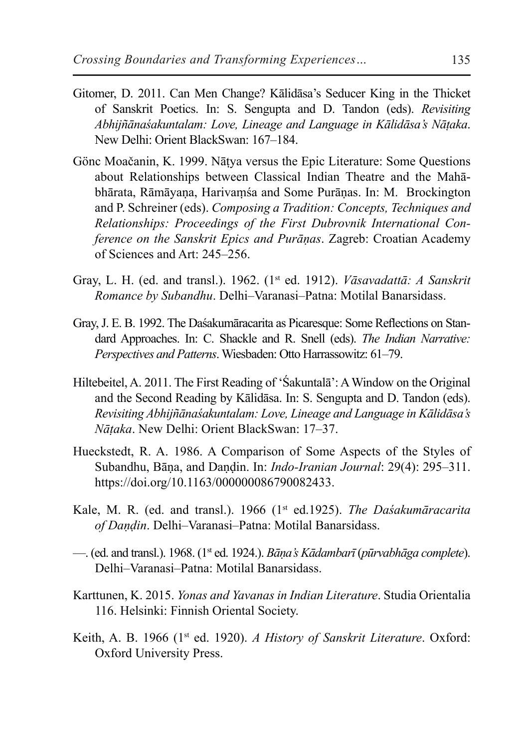- Gitomer, D. 2011. Can Men Change? Kālidāsa's Seducer King in the Thicket of Sanskrit Poetics. In: S. Sengupta and D. Tandon (eds). *Revisiting Abhijñānaśakuntalam: Love, Lineage and Language in Kālidāsa's Nāṭaka*. New Delhi: Orient BlackSwan: 167–184.
- Gönc Moačanin, K. 1999. Nāṭya versus the Epic Literature: Some Questions about Relationships between Classical Indian Theatre and the Mahābhārata, Rāmāyaṇa, Harivaṃśa and Some Purāṇas. In: M. Brockington and P. Schreiner (eds). *Composing a Tradition: Concepts, Techniques and Relationships: Proceedings of the First Dubrovnik International Conference on the Sanskrit Epics and Purāṇas*. Zagreb: Croatian Academy of Sciences and Art: 245–256.
- Gray, L. H. (ed. and transl.). 1962. (1st ed. 1912). *Vāsavadattā: A Sanskrit Romance by Subandhu*. Delhi–Varanasi–Patna: Motilal Banarsidass.
- Gray, J. E. B. 1992. The Daśakumāracarita as Picaresque: Some Reflections on Standard Approaches. In: C. Shackle and R. Snell (eds). *The Indian Narrative: Perspectives and Patterns*. Wiesbaden: Otto Harrassowitz: 61–79.
- Hiltebeitel, A. 2011. The First Reading of 'Śakuntalā': AWindow on the Original and the Second Reading by Kālidāsa. In: S. Sengupta and D. Tandon (eds). *Revisiting Abhijñānaśakuntalam: Love, Lineage and Language in Kālidāsa's Nāṭaka*. New Delhi: Orient BlackSwan: 17–37.
- Hueckstedt, R. A. 1986. A Comparison of Some Aspects of the Styles of Subandhu, Bāṇa, and Daṇḍin. In: *Indo-Iranian Journal*: 29(4): 295–311. https://doi.org/10.1163/000000086790082433.
- Kale, M. R. (ed. and transl.). 1966 (1st ed.1925). *The Daśakumāracarita of Daṇḍin*. Delhi–Varanasi–Patna: Motilal Banarsidass.
- —. (ed. and transl.). 1968. (1st ed. 1924.). *Bāṇa's Kādambarī* (*pūrvabhāga complete*). Delhi–Varanasi–Patna: Motilal Banarsidass.
- Karttunen, K. 2015. *Yonas and Yavanas in Indian Literature*. Studia Orientalia 116. Helsinki: Finnish Oriental Society.
- Keith, A. B. 1966 (1st ed. 1920). *A History of Sanskrit Literature*. Oxford: Oxford University Press.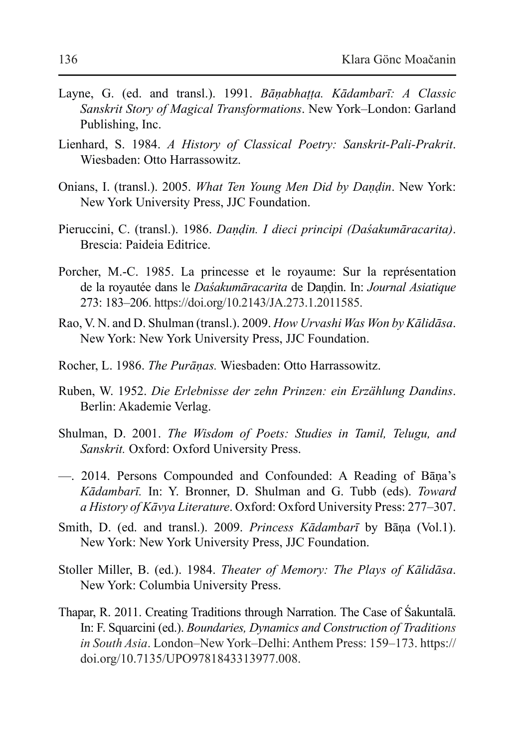- Layne, G. (ed. and transl.). 1991. *Bāṇabhaṭṭa. Kādambarī: A Classic Sanskrit Story of Magical Transformations*. New York–London: Garland Publishing, Inc.
- Lienhard, S. 1984. *A History of Classical Poetry: Sanskrit-Pali-Prakrit*. Wiesbaden: Otto Harrassowitz.
- Onians, I. (transl.). 2005. *What Ten Young Men Did by Daṇḍin*. New York: New York University Press, JJC Foundation.
- Pieruccini, C. (transl.). 1986. *Daṇḍin. I dieci principi (Daśakumāracarita)*. Brescia: Paideia Editrice.
- Porcher, M.-C. 1985. La princesse et le royaume: Sur la représentation de la royautée dans le *Daśakumāracarita* de Daṇḍin. In: *Journal Asiatique*  273: 183–206. https://doi.org/10.2143/JA.273.1.2011585.
- Rao, V. N. and D. Shulman (transl.). 2009. *How Urvashi Was Won by Kālidāsa*. New York: New York University Press, JJC Foundation.
- Rocher, L. 1986. *The Purāṇas.* Wiesbaden: Otto Harrassowitz.
- Ruben, W. 1952. *Die Erlebnisse der zehn Prinzen: ein Erzählung Dandins*. Berlin: Akademie Verlag.
- Shulman, D. 2001. *The Wisdom of Poets: Studies in Tamil, Telugu, and Sanskrit.* Oxford: Oxford University Press.
- —. 2014. Persons Compounded and Confounded: A Reading of Bāṇa's *Kādambarī.* In: Y. Bronner, D. Shulman and G. Tubb (eds). *Toward a History of Kāvya Literature*. Oxford: Oxford University Press: 277–307.
- Smith, D. (ed. and transl.). 2009. *Princess Kādambarī* by Bāṇa (Vol.1). New York: New York University Press, JJC Foundation.
- Stoller Miller, B. (ed.). 1984. *Theater of Memory: The Plays of Kālidāsa*. New York: Columbia University Press.
- Thapar, R. 2011. Creating Traditions through Narration. The Case of Śakuntalā. In: F. Squarcini (ed.). *Boundaries, Dynamics and Construction of Traditions in South Asia*. London–New York–Delhi: Anthem Press: 159–173. https:// doi.org/10.7135/UPO9781843313977.008.